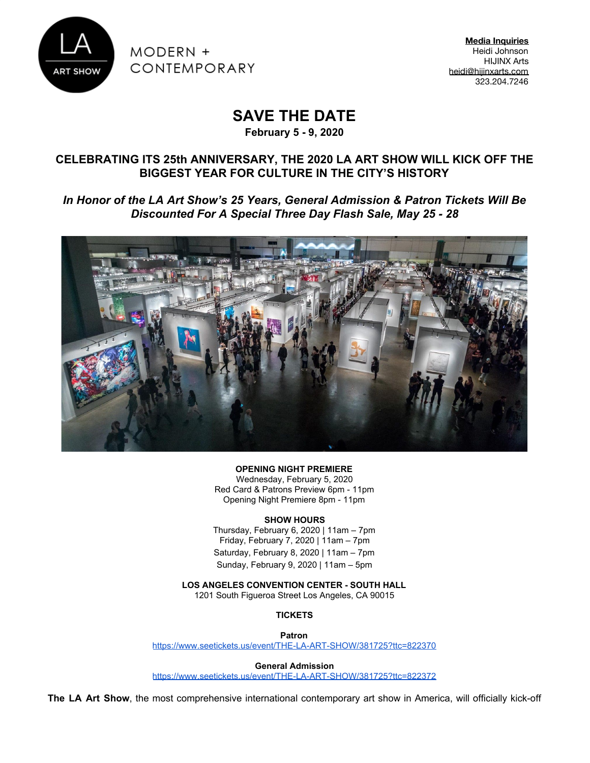

MODERN + CONTEMPORARY

**Media Inquiries** Heidi Johnson HIJINX Arts [heidi@hijinxarts.com](mailto:heidi@thinkhijinx.com) 323.204.7246

# **SAVE THE DATE**

**February 5 - 9, 2020**

### **CELEBRATING ITS 25th ANNIVERSARY, THE 2020 LA ART SHOW WILL KICK OFF THE BIGGEST YEAR FOR CULTURE IN THE CITY'S HISTORY**

*In Honor of the LA Art Show's 25 Years, General Admission & Patron Tickets Will Be Discounted For A Special Three Day Flash Sale, May 25 - 28*



**OPENING NIGHT PREMIERE**

Wednesday, February 5, 2020 Red Card & Patrons Preview 6pm - 11pm Opening Night Premiere 8pm - 11pm

#### **SHOW HOURS**

Thursday, February 6, 2020 | 11am – 7pm Friday, February 7, 2020 | 11am – 7pm Saturday, February 8, 2020 | 11am – 7pm Sunday, February 9, 2020 | 11am – 5pm

**LOS ANGELES CONVENTION CENTER - SOUTH HALL**

1201 South Figueroa Street Los Angeles, CA 90015

**TICKETS**

**Patron**

<https://www.seetickets.us/event/THE-LA-ART-SHOW/381725?ttc=822370>

**General Admission**

<https://www.seetickets.us/event/THE-LA-ART-SHOW/381725?ttc=822372>

**The LA Art Show**, the most comprehensive international contemporary art show in America, will officially kick-off